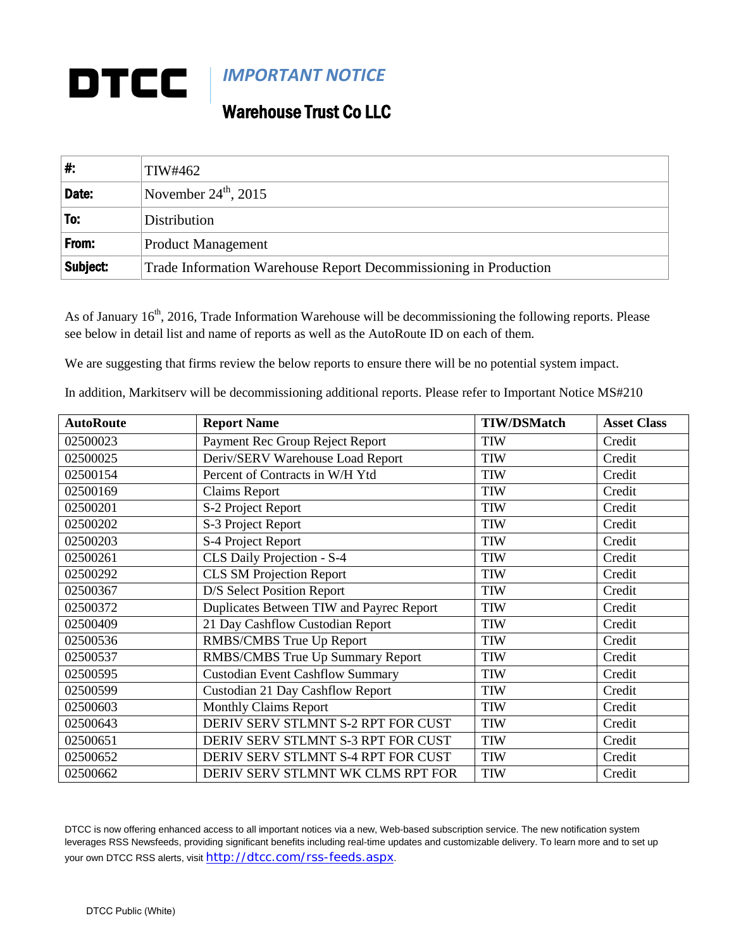## **DTCC** *IMPORTANT NOTICE*

## Warehouse Trust Co LLC

| #        | TIW#462                                                          |
|----------|------------------------------------------------------------------|
| Date:    | November $24^{\text{th}}$ , 2015                                 |
| To:      | Distribution                                                     |
| From:    | <b>Product Management</b>                                        |
| Subject: | Trade Information Warehouse Report Decommissioning in Production |

As of January 16<sup>th</sup>, 2016, Trade Information Warehouse will be decommissioning the following reports. Please see below in detail list and name of reports as well as the AutoRoute ID on each of them.

We are suggesting that firms review the below reports to ensure there will be no potential system impact.

| <b>AutoRoute</b> | <b>Report Name</b>                       | <b>TIW/DSMatch</b> | <b>Asset Class</b> |
|------------------|------------------------------------------|--------------------|--------------------|
| 02500023         | Payment Rec Group Reject Report          | <b>TIW</b>         | Credit             |
| 02500025         | Deriv/SERV Warehouse Load Report         | <b>TIW</b>         | Credit             |
| 02500154         | Percent of Contracts in W/H Ytd          | <b>TIW</b>         | Credit             |
| 02500169         | <b>Claims Report</b>                     | <b>TIW</b>         | Credit             |
| 02500201         | S-2 Project Report                       | <b>TIW</b>         | Credit             |
| 02500202         | S-3 Project Report                       | <b>TIW</b>         | Credit             |
| 02500203         | S-4 Project Report                       | <b>TIW</b>         | Credit             |
| 02500261         | CLS Daily Projection - S-4               | <b>TIW</b>         | Credit             |
| 02500292         | <b>CLS SM Projection Report</b>          | <b>TIW</b>         | Credit             |
| 02500367         | D/S Select Position Report               | <b>TIW</b>         | Credit             |
| 02500372         | Duplicates Between TIW and Payrec Report | <b>TIW</b>         | Credit             |
| 02500409         | 21 Day Cashflow Custodian Report         | <b>TIW</b>         | Credit             |
| 02500536         | RMBS/CMBS True Up Report                 | <b>TIW</b>         | Credit             |
| 02500537         | RMBS/CMBS True Up Summary Report         | <b>TIW</b>         | Credit             |
| 02500595         | <b>Custodian Event Cashflow Summary</b>  | <b>TIW</b>         | Credit             |
| 02500599         | Custodian 21 Day Cashflow Report         | <b>TIW</b>         | Credit             |
| 02500603         | <b>Monthly Claims Report</b>             | <b>TIW</b>         | Credit             |
| 02500643         | DERIV SERV STLMNT S-2 RPT FOR CUST       | <b>TIW</b>         | Credit             |
| 02500651         | DERIV SERV STLMNT S-3 RPT FOR CUST       | <b>TIW</b>         | Credit             |
| 02500652         | DERIV SERV STLMNT S-4 RPT FOR CUST       | <b>TIW</b>         | Credit             |
| 02500662         | DERIV SERV STLMNT WK CLMS RPT FOR        | <b>TIW</b>         | Credit             |

In addition, Markitserv will be decommissioning additional reports. Please refer to Important Notice MS#210

DTCC is now offering enhanced access to all important notices via a new, Web-based subscription service. The new notification system leverages RSS Newsfeeds, providing significant benefits including real-time updates and customizable delivery. To learn more and to set up your own DTCC RSS alerts, visit <http://dtcc.com/rss-feeds.aspx>.